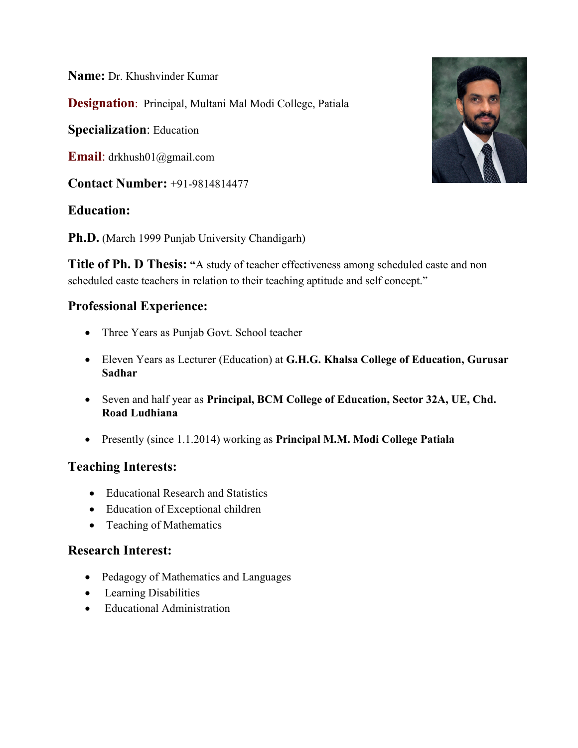**Name:** Dr. Khushvinder Kumar

**Designation**: Principal, Multani Mal Modi College, Patiala

**Specialization**: Education

**Email**: drkhush01@gmail.com

**Contact Number:** +91-9814814477

## **Education:**

**Ph.D.** (March 1999 Punjab University Chandigarh)

**Title of Ph. D Thesis: "**A study of teacher effectiveness among scheduled caste and non scheduled caste teachers in relation to their teaching aptitude and self concept."

## **Professional Experience:**

- Three Years as Punjab Govt. School teacher
- Eleven Years as Lecturer (Education) at **G.H.G. Khalsa College of Education, Gurusar Sadhar**
- Seven and half year as **Principal, BCM College of Education, Sector 32A, UE, Chd. Road Ludhiana**
- Presently (since 1.1.2014) working as **Principal M.M. Modi College Patiala**

## **Teaching Interests:**

- Educational Research and Statistics
- Education of Exceptional children
- Teaching of Mathematics

## **Research Interest:**

- Pedagogy of Mathematics and Languages
- Learning Disabilities
- Educational Administration

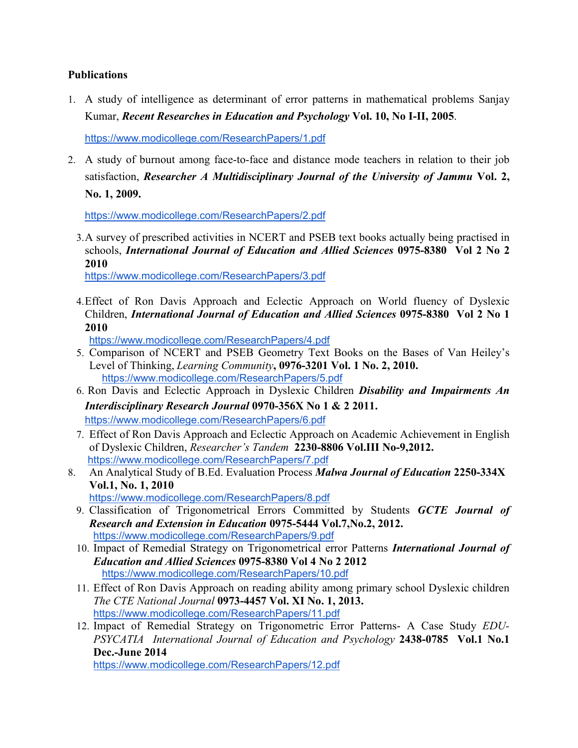#### **Publications**

1. A study of intelligence as determinant of error patterns in mathematical problems Sanjay Kumar, *Recent Researches in Education and Psychology* **Vol. 10, No I-II, 2005**.

https://www.modicollege.com/ResearchPapers/1.pdf

2. A study of burnout among face-to-face and distance mode teachers in relation to their job satisfaction, *Researcher A Multidisciplinary Journal of the University of Jammu* **Vol. 2, No. 1, 2009.** 

https://www.modicollege.com/ResearchPapers/2.pdf

3.A survey of prescribed activities in NCERT and PSEB text books actually being practised in schools, *International Journal of Education and Allied Sciences* **0975-8380 Vol 2 No 2 2010** 

https://www.modicollege.com/ResearchPapers/3.pdf

4.Effect of Ron Davis Approach and Eclectic Approach on World fluency of Dyslexic Children, *International Journal of Education and Allied Sciences* **0975-8380 Vol 2 No 1 2010** 

https://www.modicollege.com/ResearchPapers/4.pdf

- 5. Comparison of NCERT and PSEB Geometry Text Books on the Bases of Van Heiley's Level of Thinking, *Learning Community***, 0976-3201 Vol. 1 No. 2, 2010.** https://www.modicollege.com/ResearchPapers/5.pdf
- 6. Ron Davis and Eclectic Approach in Dyslexic Children *Disability and Impairments An Interdisciplinary Research Journal* **0970-356X No 1 & 2 2011.**

https://www.modicollege.com/ResearchPapers/6.pdf

- 7. Effect of Ron Davis Approach and Eclectic Approach on Academic Achievement in English of Dyslexic Children, *Researcher's Tandem* **2230-8806 Vol.III No-9,2012.** https://www.modicollege.com/ResearchPapers/7.pdf
- 8. An Analytical Study of B.Ed. Evaluation Process *Malwa Journal of Education* **2250-334X Vol.1, No. 1, 2010**  https://www.modicollege.com/ResearchPapers/8.pdf
	- 9. Classification of Trigonometrical Errors Committed by Students *GCTE Journal of Research and Extension in Education* **0975-5444 Vol.7,No.2, 2012.** https://www.modicollege.com/ResearchPapers/9.pdf
	- 10. Impact of Remedial Strategy on Trigonometrical error Patterns *International Journal of Education and Allied Sciences* **0975-8380 Vol 4 No 2 2012**  https://www.modicollege.com/ResearchPapers/10.pdf
	- 11. Effect of Ron Davis Approach on reading ability among primary school Dyslexic children *The CTE National Journal* **0973-4457 Vol. XI No. 1, 2013.**  https://www.modicollege.com/ResearchPapers/11.pdf
	- 12. Impact of Remedial Strategy on Trigonometric Error Patterns- A Case Study *EDU-PSYCATIA International Journal of Education and Psychology* **2438-0785 Vol.1 No.1 Dec.-June 2014**

https://www.modicollege.com/ResearchPapers/12.pdf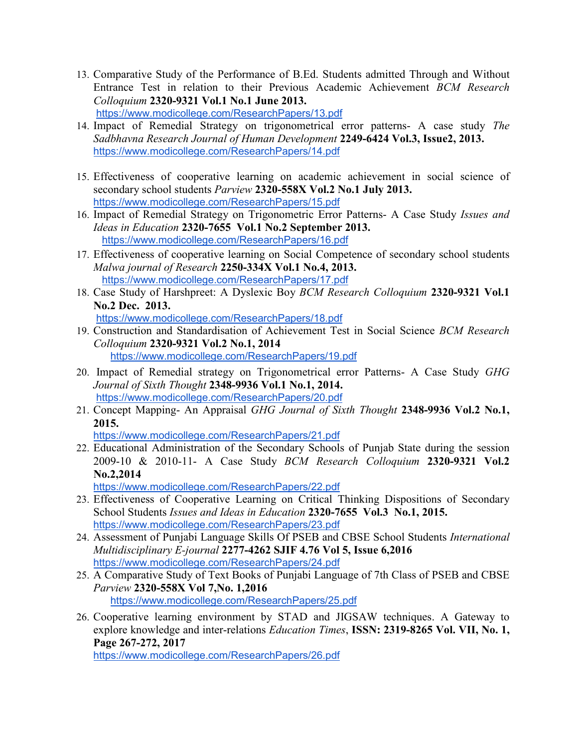- 13. Comparative Study of the Performance of B.Ed. Students admitted Through and Without Entrance Test in relation to their Previous Academic Achievement *BCM Research Colloquium* **2320-9321 Vol.1 No.1 June 2013.** https://www.modicollege.com/ResearchPapers/13.pdf
- 14. Impact of Remedial Strategy on trigonometrical error patterns- A case study *The Sadbhavna Research Journal of Human Development* **2249-6424 Vol.3, Issue2, 2013.** https://www.modicollege.com/ResearchPapers/14.pdf
- 15. Effectiveness of cooperative learning on academic achievement in social science of secondary school students *Parview* **2320-558X Vol.2 No.1 July 2013.** https://www.modicollege.com/ResearchPapers/15.pdf
- 16. Impact of Remedial Strategy on Trigonometric Error Patterns- A Case Study *Issues and Ideas in Education* **2320-7655 Vol.1 No.2 September 2013.** https://www.modicollege.com/ResearchPapers/16.pdf
- 17. Effectiveness of cooperative learning on Social Competence of secondary school students *Malwa journal of Research* **2250-334X Vol.1 No.4, 2013.**  https://www.modicollege.com/ResearchPapers/17.pdf
- 18. Case Study of Harshpreet: A Dyslexic Boy *BCM Research Colloquium* **2320-9321 Vol.1 No.2 Dec. 2013.**

https://www.modicollege.com/ResearchPapers/18.pdf

- 19. Construction and Standardisation of Achievement Test in Social Science *BCM Research Colloquium* **2320-9321 Vol.2 No.1, 2014** https://www.modicollege.com/ResearchPapers/19.pdf
- 20. Impact of Remedial strategy on Trigonometrical error Patterns- A Case Study *GHG Journal of Sixth Thought* **2348-9936 Vol.1 No.1, 2014.** https://www.modicollege.com/ResearchPapers/20.pdf
- 21. Concept Mapping- An Appraisal *GHG Journal of Sixth Thought* **2348-9936 Vol.2 No.1, 2015.**

https://www.modicollege.com/ResearchPapers/21.pdf

22. Educational Administration of the Secondary Schools of Punjab State during the session 2009-10 & 2010-11- A Case Study *BCM Research Colloquium* **2320-9321 Vol.2 No.2,2014**

https://www.modicollege.com/ResearchPapers/22.pdf

- 23. Effectiveness of Cooperative Learning on Critical Thinking Dispositions of Secondary School Students *Issues and Ideas in Education* **2320-7655 Vol.3 No.1, 2015.** https://www.modicollege.com/ResearchPapers/23.pdf
- 24. Assessment of Punjabi Language Skills Of PSEB and CBSE School Students *International Multidisciplinary E-journal* **2277-4262 SJIF 4.76 Vol 5, Issue 6,2016** https://www.modicollege.com/ResearchPapers/24.pdf
- 25. A Comparative Study of Text Books of Punjabi Language of 7th Class of PSEB and CBSE *Parview* **2320-558X Vol 7,No. 1,2016** https://www.modicollege.com/ResearchPapers/25.pdf
- 26. Cooperative learning environment by STAD and JIGSAW techniques. A Gateway to explore knowledge and inter-relations *Education Times*, **ISSN: 2319-8265 Vol. VII, No. 1, Page 267-272, 2017**

https://www.modicollege.com/ResearchPapers/26.pdf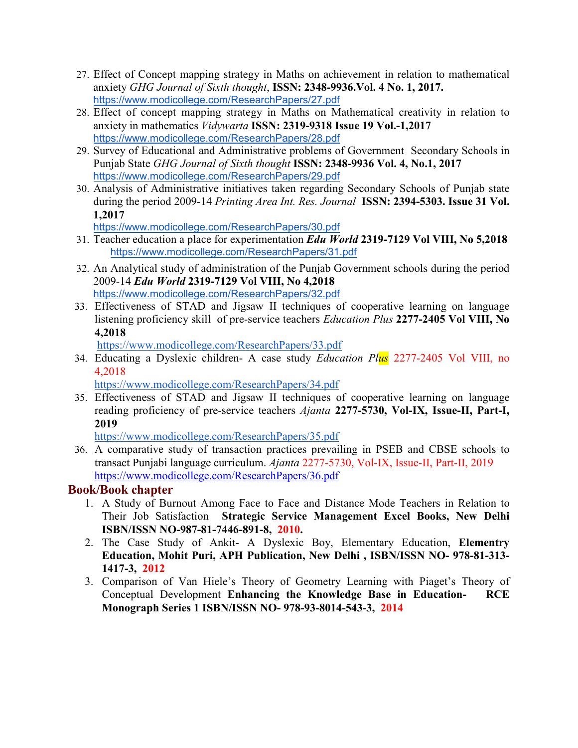- 27. Effect of Concept mapping strategy in Maths on achievement in relation to mathematical anxiety *GHG Journal of Sixth thought*, **ISSN: 2348-9936.Vol. 4 No. 1, 2017.** https://www.modicollege.com/ResearchPapers/27.pdf
- 28. Effect of concept mapping strategy in Maths on Mathematical creativity in relation to anxiety in mathematics *Vidywarta* **ISSN: 2319-9318 Issue 19 Vol.-1,2017** https://www.modicollege.com/ResearchPapers/28.pdf
- 29. Survey of Educational and Administrative problems of Government Secondary Schools in Punjab State *GHG Journal of Sixth thought* **ISSN: 2348-9936 Vol. 4, No.1, 2017** https://www.modicollege.com/ResearchPapers/29.pdf
- 30. Analysis of Administrative initiatives taken regarding Secondary Schools of Punjab state during the period 2009-14 *Printing Area Int. Res. Journal* **ISSN: 2394-5303. Issue 31 Vol. 1,2017**

https://www.modicollege.com/ResearchPapers/30.pdf

- 31. Teacher education a place for experimentation *Edu World* **2319-7129 Vol VIII, No 5,2018** https://www.modicollege.com/ResearchPapers/31.pdf
- 32. An Analytical study of administration of the Punjab Government schools during the period 2009-14 *Edu World* **2319-7129 Vol VIII, No 4,2018** https://www.modicollege.com/ResearchPapers/32.pdf
- 33. Effectiveness of STAD and Jigsaw II techniques of cooperative learning on language listening proficiency skill of pre-service teachers *Education Plus* **2277-2405 Vol VIII, No 4,2018**

https://www.modicollege.com/ResearchPapers/33.pdf

34. Educating a Dyslexic children- A case study *Education Plus* 2277-2405 Vol VIII, no 4,2018

https://www.modicollege.com/ResearchPapers/34.pdf

35. Effectiveness of STAD and Jigsaw II techniques of cooperative learning on language reading proficiency of pre-service teachers *Ajanta* **2277-5730, Vol-IX, Issue-II, Part-I, 2019** 

https://www.modicollege.com/ResearchPapers/35.pdf

36. A comparative study of transaction practices prevailing in PSEB and CBSE schools to transact Punjabi language curriculum. *Ajanta* 2277-5730, Vol-IX, Issue-II, Part-II, 2019 https://www.modicollege.com/ResearchPapers/36.pdf

### **Book/Book chapter**

- 1. A Study of Burnout Among Face to Face and Distance Mode Teachers in Relation to Their Job Satisfaction **Strategic Service Management Excel Books, New Delhi ISBN/ISSN NO-987-81-7446-891-8, 2010.**
- 2. The Case Study of Ankit- A Dyslexic Boy, Elementary Education, **Elementry Education, Mohit Puri, APH Publication, New Delhi , ISBN/ISSN NO- 978-81-313- 1417-3, 2012**
- 3. Comparison of Van Hiele's Theory of Geometry Learning with Piaget's Theory of Conceptual Development **Enhancing the Knowledge Base in Education- RCE Monograph Series 1 ISBN/ISSN NO- 978-93-8014-543-3, 2014**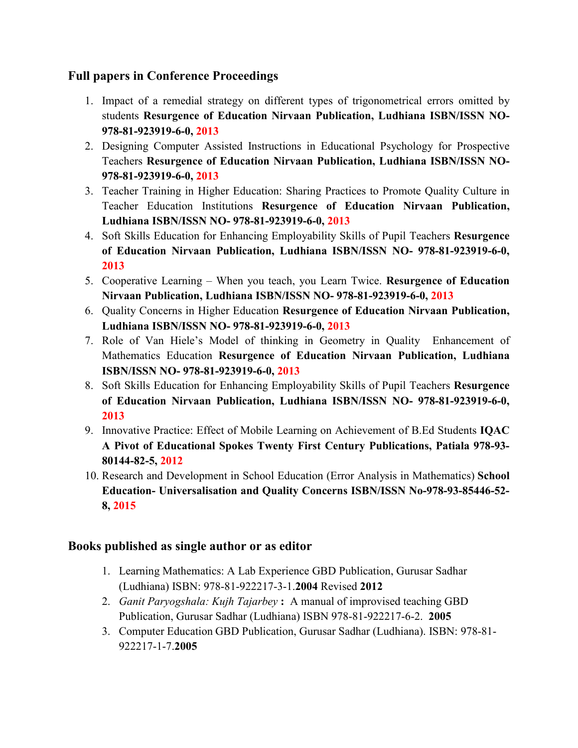### **Full papers in Conference Proceedings**

- 1. Impact of a remedial strategy on different types of trigonometrical errors omitted by students **Resurgence of Education Nirvaan Publication, Ludhiana ISBN/ISSN NO-978-81-923919-6-0, 2013**
- 2. Designing Computer Assisted Instructions in Educational Psychology for Prospective Teachers **Resurgence of Education Nirvaan Publication, Ludhiana ISBN/ISSN NO-978-81-923919-6-0, 2013**
- 3. Teacher Training in Higher Education: Sharing Practices to Promote Quality Culture in Teacher Education Institutions **Resurgence of Education Nirvaan Publication, Ludhiana ISBN/ISSN NO- 978-81-923919-6-0, 2013**
- 4. Soft Skills Education for Enhancing Employability Skills of Pupil Teachers **Resurgence of Education Nirvaan Publication, Ludhiana ISBN/ISSN NO- 978-81-923919-6-0, 2013**
- 5. Cooperative Learning When you teach, you Learn Twice. **Resurgence of Education Nirvaan Publication, Ludhiana ISBN/ISSN NO- 978-81-923919-6-0, 2013**
- 6. Quality Concerns in Higher Education **Resurgence of Education Nirvaan Publication, Ludhiana ISBN/ISSN NO- 978-81-923919-6-0, 2013**
- 7. Role of Van Hiele's Model of thinking in Geometry in Quality Enhancement of Mathematics Education **Resurgence of Education Nirvaan Publication, Ludhiana ISBN/ISSN NO- 978-81-923919-6-0, 2013**
- 8. Soft Skills Education for Enhancing Employability Skills of Pupil Teachers **Resurgence of Education Nirvaan Publication, Ludhiana ISBN/ISSN NO- 978-81-923919-6-0, 2013**
- 9. Innovative Practice: Effect of Mobile Learning on Achievement of B.Ed Students **IQAC A Pivot of Educational Spokes Twenty First Century Publications, Patiala 978-93- 80144-82-5, 2012**
- 10. Research and Development in School Education (Error Analysis in Mathematics) **School Education- Universalisation and Quality Concerns ISBN/ISSN No-978-93-85446-52- 8, 2015**

### **Books published as single author or as editor**

- 1. Learning Mathematics: A Lab Experience GBD Publication, Gurusar Sadhar (Ludhiana) ISBN: 978-81-922217-3-1.**2004** Revised **2012**
- 2. *Ganit Paryogshala: Kujh Tajarbey* **:** A manual of improvised teaching GBD Publication, Gurusar Sadhar (Ludhiana) ISBN 978-81-922217-6-2. **2005**
- 3. Computer Education GBD Publication, Gurusar Sadhar (Ludhiana). ISBN: 978-81- 922217-1-7.**2005**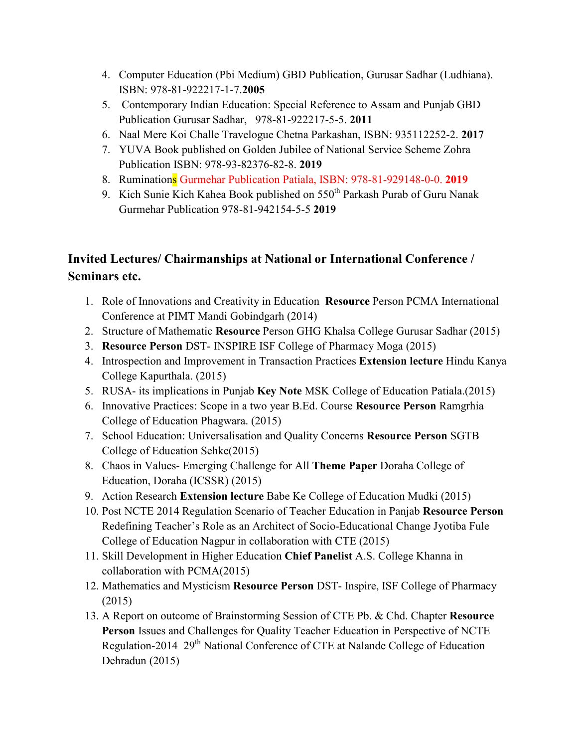- 4. Computer Education (Pbi Medium) GBD Publication, Gurusar Sadhar (Ludhiana). ISBN: 978-81-922217-1-7.**2005**
- 5. Contemporary Indian Education: Special Reference to Assam and Punjab GBD Publication Gurusar Sadhar, 978-81-922217-5-5. **2011**
- 6. Naal Mere Koi Challe Travelogue Chetna Parkashan, ISBN: 935112252-2. **2017**
- 7. YUVA Book published on Golden Jubilee of National Service Scheme Zohra Publication ISBN: 978-93-82376-82-8. **2019**
- 8. Ruminations Gurmehar Publication Patiala, ISBN: 978-81-929148-0-0. **2019**
- 9. Kich Sunie Kich Kahea Book published on 550<sup>th</sup> Parkash Purab of Guru Nanak Gurmehar Publication 978-81-942154-5-5 **2019**

## **Invited Lectures/ Chairmanships at National or International Conference / Seminars etc.**

- 1. Role of Innovations and Creativity in Education **Resource** Person PCMA International Conference at PIMT Mandi Gobindgarh (2014)
- 2. Structure of Mathematic **Resource** Person GHG Khalsa College Gurusar Sadhar (2015)
- 3. **Resource Person** DST- INSPIRE ISF College of Pharmacy Moga (2015)
- 4. Introspection and Improvement in Transaction Practices **Extension lecture** Hindu Kanya College Kapurthala. (2015)
- 5. RUSA- its implications in Punjab **Key Note** MSK College of Education Patiala.(2015)
- 6. Innovative Practices: Scope in a two year B.Ed. Course **Resource Person** Ramgrhia College of Education Phagwara. (2015)
- 7. School Education: Universalisation and Quality Concerns **Resource Person** SGTB College of Education Sehke(2015)
- 8. Chaos in Values- Emerging Challenge for All **Theme Paper** Doraha College of Education, Doraha (ICSSR) (2015)
- 9. Action Research **Extension lecture** Babe Ke College of Education Mudki (2015)
- 10. Post NCTE 2014 Regulation Scenario of Teacher Education in Panjab **Resource Person**  Redefining Teacher's Role as an Architect of Socio-Educational Change Jyotiba Fule College of Education Nagpur in collaboration with CTE (2015)
- 11. Skill Development in Higher Education **Chief Panelist** A.S. College Khanna in collaboration with PCMA(2015)
- 12. Mathematics and Mysticism **Resource Person** DST- Inspire, ISF College of Pharmacy (2015)
- 13. A Report on outcome of Brainstorming Session of CTE Pb. & Chd. Chapter **Resource Person** Issues and Challenges for Quality Teacher Education in Perspective of NCTE Regulation-2014 29<sup>th</sup> National Conference of CTE at Nalande College of Education Dehradun (2015)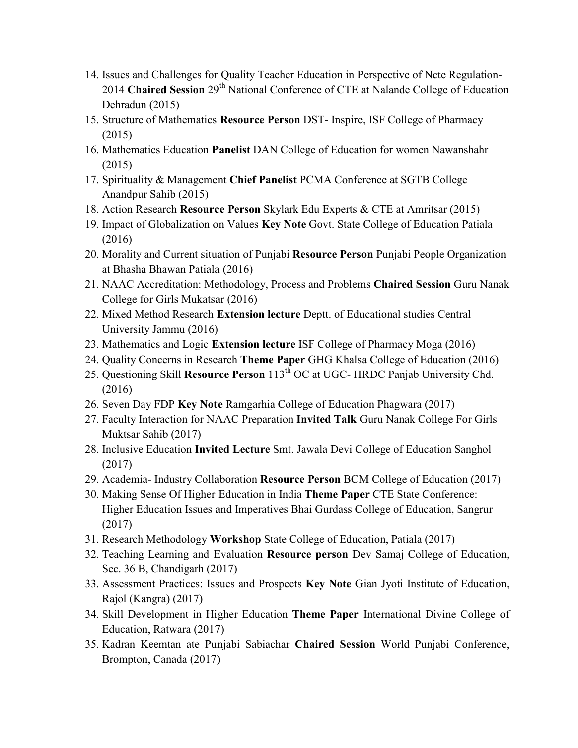- 14. Issues and Challenges for Quality Teacher Education in Perspective of Ncte Regulation-2014 **Chaired Session** 29th National Conference of CTE at Nalande College of Education Dehradun (2015)
- 15. Structure of Mathematics **Resource Person** DST- Inspire, ISF College of Pharmacy (2015)
- 16. Mathematics Education **Panelist** DAN College of Education for women Nawanshahr (2015)
- 17. Spirituality & Management **Chief Panelist** PCMA Conference at SGTB College Anandpur Sahib (2015)
- 18. Action Research **Resource Person** Skylark Edu Experts & CTE at Amritsar (2015)
- 19. Impact of Globalization on Values **Key Note** Govt. State College of Education Patiala (2016)
- 20. Morality and Current situation of Punjabi **Resource Person** Punjabi People Organization at Bhasha Bhawan Patiala (2016)
- 21. NAAC Accreditation: Methodology, Process and Problems **Chaired Session** Guru Nanak College for Girls Mukatsar (2016)
- 22. Mixed Method Research **Extension lecture** Deptt. of Educational studies Central University Jammu (2016)
- 23. Mathematics and Logic **Extension lecture** ISF College of Pharmacy Moga (2016)
- 24. Quality Concerns in Research **Theme Paper** GHG Khalsa College of Education (2016)
- 25. Questioning Skill **Resource Person** 113th OC at UGC- HRDC Panjab University Chd. (2016)
- 26. Seven Day FDP **Key Note** Ramgarhia College of Education Phagwara (2017)
- 27. Faculty Interaction for NAAC Preparation **Invited Talk** Guru Nanak College For Girls Muktsar Sahib (2017)
- 28. Inclusive Education **Invited Lecture** Smt. Jawala Devi College of Education Sanghol (2017)
- 29. Academia- Industry Collaboration **Resource Person** BCM College of Education (2017)
- 30. Making Sense Of Higher Education in India **Theme Paper** CTE State Conference: Higher Education Issues and Imperatives Bhai Gurdass College of Education, Sangrur (2017)
- 31. Research Methodology **Workshop** State College of Education, Patiala (2017)
- 32. Teaching Learning and Evaluation **Resource person** Dev Samaj College of Education, Sec. 36 B, Chandigarh (2017)
- 33. Assessment Practices: Issues and Prospects **Key Note** Gian Jyoti Institute of Education, Rajol (Kangra) (2017)
- 34. Skill Development in Higher Education **Theme Paper** International Divine College of Education, Ratwara (2017)
- 35. Kadran Keemtan ate Punjabi Sabiachar **Chaired Session** World Punjabi Conference, Brompton, Canada (2017)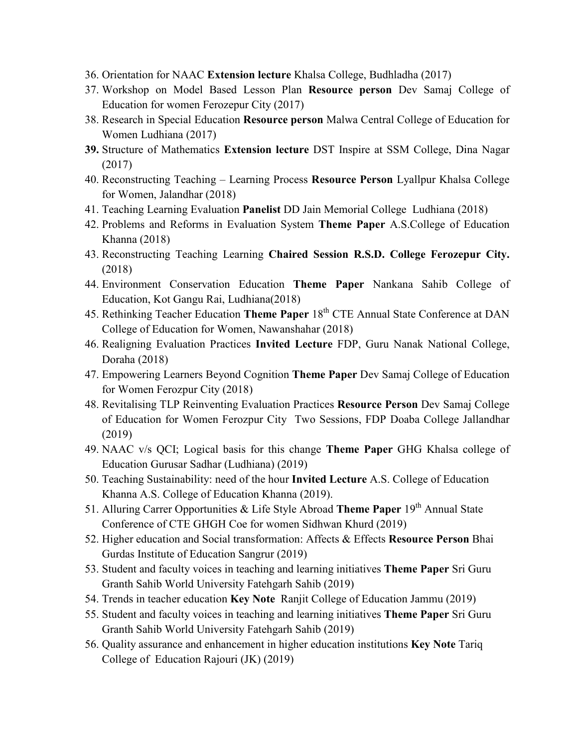- 36. Orientation for NAAC **Extension lecture** Khalsa College, Budhladha (2017)
- 37. Workshop on Model Based Lesson Plan **Resource person** Dev Samaj College of Education for women Ferozepur City (2017)
- 38. Research in Special Education **Resource person** Malwa Central College of Education for Women Ludhiana (2017)
- **39.** Structure of Mathematics **Extension lecture** DST Inspire at SSM College, Dina Nagar (2017)
- 40. Reconstructing Teaching Learning Process **Resource Person** Lyallpur Khalsa College for Women, Jalandhar (2018)
- 41. Teaching Learning Evaluation **Panelist** DD Jain Memorial College Ludhiana (2018)
- 42. Problems and Reforms in Evaluation System **Theme Paper** A.S.College of Education Khanna (2018)
- 43. Reconstructing Teaching Learning **Chaired Session R.S.D. College Ferozepur City.** (2018)
- 44. Environment Conservation Education **Theme Paper** Nankana Sahib College of Education, Kot Gangu Rai, Ludhiana(2018)
- 45. Rethinking Teacher Education **Theme Paper** 18th CTE Annual State Conference at DAN College of Education for Women, Nawanshahar (2018)
- 46. Realigning Evaluation Practices **Invited Lecture** FDP, Guru Nanak National College, Doraha (2018)
- 47. Empowering Learners Beyond Cognition **Theme Paper** Dev Samaj College of Education for Women Ferozpur City (2018)
- 48. Revitalising TLP Reinventing Evaluation Practices **Resource Person** Dev Samaj College of Education for Women Ferozpur City Two Sessions, FDP Doaba College Jallandhar (2019)
- 49. NAAC v/s QCI; Logical basis for this change **Theme Paper** GHG Khalsa college of Education Gurusar Sadhar (Ludhiana) (2019)
- 50. Teaching Sustainability: need of the hour **Invited Lecture** A.S. College of Education Khanna A.S. College of Education Khanna (2019).
- 51. Alluring Carrer Opportunities & Life Style Abroad **Theme Paper** 19th Annual State Conference of CTE GHGH Coe for women Sidhwan Khurd (2019)
- 52. Higher education and Social transformation: Affects & Effects **Resource Person** Bhai Gurdas Institute of Education Sangrur (2019)
- 53. Student and faculty voices in teaching and learning initiatives **Theme Paper** Sri Guru Granth Sahib World University Fatehgarh Sahib (2019)
- 54. Trends in teacher education **Key Note** Ranjit College of Education Jammu (2019)
- 55. Student and faculty voices in teaching and learning initiatives **Theme Paper** Sri Guru Granth Sahib World University Fatehgarh Sahib (2019)
- 56. Quality assurance and enhancement in higher education institutions **Key Note** Tariq College of Education Rajouri (JK) (2019)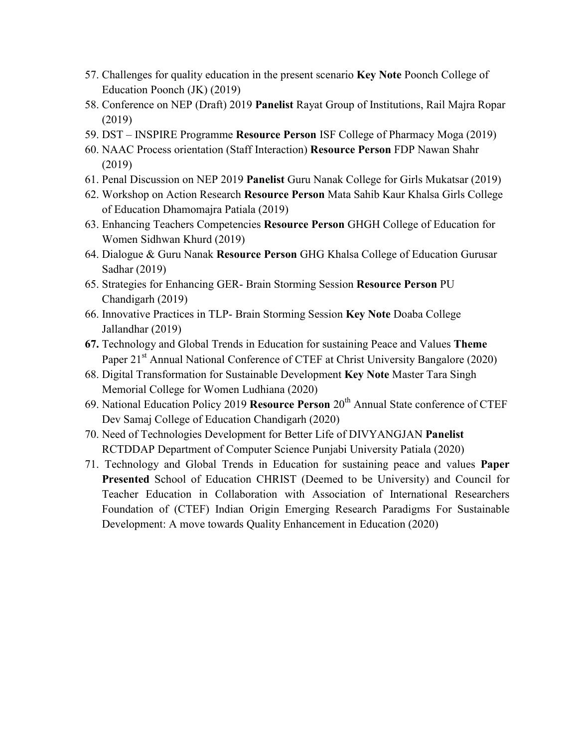- 57. Challenges for quality education in the present scenario **Key Note** Poonch College of Education Poonch (JK) (2019)
- 58. Conference on NEP (Draft) 2019 **Panelist** Rayat Group of Institutions, Rail Majra Ropar (2019)
- 59. DST INSPIRE Programme **Resource Person** ISF College of Pharmacy Moga (2019)
- 60. NAAC Process orientation (Staff Interaction) **Resource Person** FDP Nawan Shahr (2019)
- 61. Penal Discussion on NEP 2019 **Panelist** Guru Nanak College for Girls Mukatsar (2019)
- 62. Workshop on Action Research **Resource Person** Mata Sahib Kaur Khalsa Girls College of Education Dhamomajra Patiala (2019)
- 63. Enhancing Teachers Competencies **Resource Person** GHGH College of Education for Women Sidhwan Khurd (2019)
- 64. Dialogue & Guru Nanak **Resource Person** GHG Khalsa College of Education Gurusar Sadhar (2019)
- 65. Strategies for Enhancing GER- Brain Storming Session **Resource Person** PU Chandigarh (2019)
- 66. Innovative Practices in TLP- Brain Storming Session **Key Note** Doaba College Jallandhar (2019)
- **67.** Technology and Global Trends in Education for sustaining Peace and Values **Theme**  Paper 21<sup>st</sup> Annual National Conference of CTEF at Christ University Bangalore (2020)
- 68. Digital Transformation for Sustainable Development **Key Note** Master Tara Singh Memorial College for Women Ludhiana (2020)
- 69. National Education Policy 2019 **Resource Person** 20th Annual State conference of CTEF Dev Samaj College of Education Chandigarh (2020)
- 70. Need of Technologies Development for Better Life of DIVYANGJAN **Panelist**  RCTDDAP Department of Computer Science Punjabi University Patiala (2020)
- 71. Technology and Global Trends in Education for sustaining peace and values **Paper Presented** School of Education CHRIST (Deemed to be University) and Council for Teacher Education in Collaboration with Association of International Researchers Foundation of (CTEF) Indian Origin Emerging Research Paradigms For Sustainable Development: A move towards Quality Enhancement in Education (2020)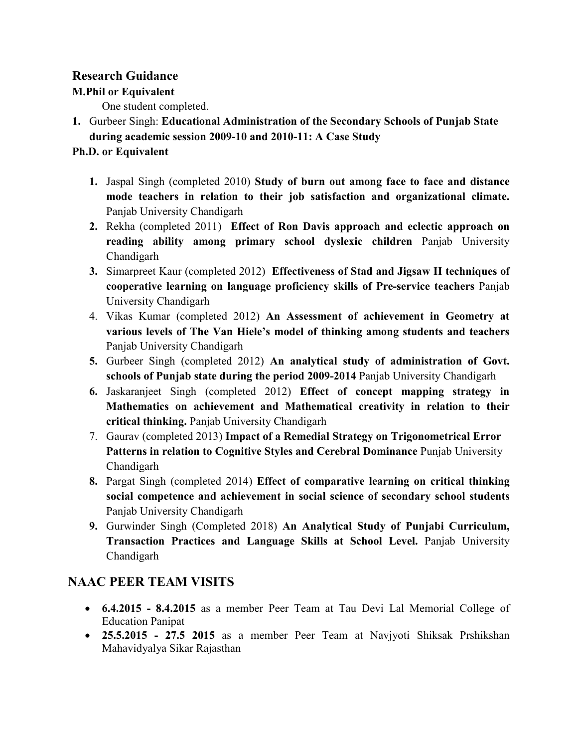## **Research Guidance**

#### **M.Phil or Equivalent**

One student completed.

**1.** Gurbeer Singh: **Educational Administration of the Secondary Schools of Punjab State during academic session 2009-10 and 2010-11: A Case Study** 

### **Ph.D. or Equivalent**

- **1.** Jaspal Singh (completed 2010) **Study of burn out among face to face and distance mode teachers in relation to their job satisfaction and organizational climate.**  Panjab University Chandigarh
- **2.** Rekha (completed 2011) **Effect of Ron Davis approach and eclectic approach on reading ability among primary school dyslexic children** Panjab University Chandigarh
- **3.** Simarpreet Kaur (completed 2012) **Effectiveness of Stad and Jigsaw II techniques of cooperative learning on language proficiency skills of Pre-service teachers** Panjab University Chandigarh
- 4. Vikas Kumar (completed 2012) **An Assessment of achievement in Geometry at various levels of The Van Hiele's model of thinking among students and teachers**  Panjab University Chandigarh
- **5.** Gurbeer Singh (completed 2012) **An analytical study of administration of Govt. schools of Punjab state during the period 2009-2014** Panjab University Chandigarh
- **6.** Jaskaranjeet Singh (completed 2012) **Effect of concept mapping strategy in Mathematics on achievement and Mathematical creativity in relation to their critical thinking.** Panjab University Chandigarh
- 7. Gaurav (completed 2013) **Impact of a Remedial Strategy on Trigonometrical Error Patterns in relation to Cognitive Styles and Cerebral Dominance** Punjab University Chandigarh
- **8.** Pargat Singh (completed 2014) **Effect of comparative learning on critical thinking social competence and achievement in social science of secondary school students**  Panjab University Chandigarh
- **9.** Gurwinder Singh (Completed 2018) **An Analytical Study of Punjabi Curriculum, Transaction Practices and Language Skills at School Level.** Panjab University Chandigarh

## **NAAC PEER TEAM VISITS**

- **6.4.2015 8.4.2015** as a member Peer Team at Tau Devi Lal Memorial College of Education Panipat
- **25.5.2015 27.5 2015** as a member Peer Team at Navjyoti Shiksak Prshikshan Mahavidyalya Sikar Rajasthan